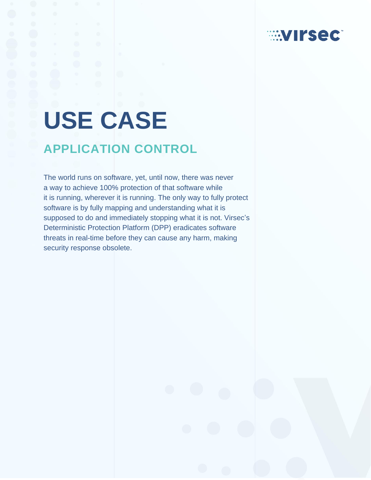# **EXTIRSECT**

# **USE CASE APPLICATION CONTROL**

The world runs on software, yet, until now, there was never a way to achieve 100% protection of that software while it is running, wherever it is running. The only way to fully protect software is by fully mapping and understanding what it is supposed to do and immediately stopping what it is not. Virsec's Deterministic Protection Platform (DPP) eradicates software threats in real-time before they can cause any harm, making security response obsolete.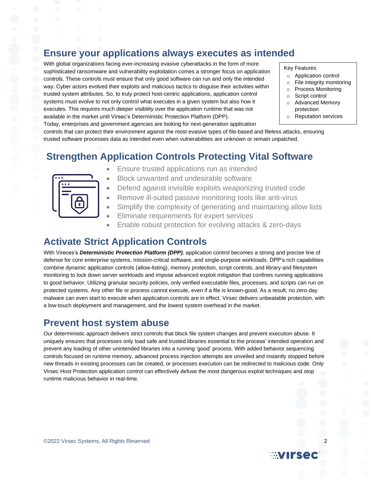## **Ensure your applications always executes as intended**

With global organizations facing ever-increasing evasive cyberattacks in the form of more sophisticated ransomware and vulnerability exploitation comes a stronger focus on application controls. These controls must ensure that only good software can run and only the intended way. Cyber actors evolved their exploits and malicious tactics to disguise their activities within trusted system attributes. So, to truly protect host-centric applications, application control systems must evolve to not only control what executes in a given system but also how it executes. This requires much deeper visibility over the application runtime that was not available in the market until Virsec's Deterministic Protection Platform (DPP).

Key Features

- 
- o Application control
- o File integrity monitoring
- Process Monitoring
- o Script control
- o Advanced Memory protection
- **Reputation services**

Today, enterprises and government agencies are looking for next-generation application

controls that can protect their environment against the most evasive types of file-based and fileless attacks, ensuring trusted software processes data as intended even when vulnerabilities are unknown or remain unpatched.

## **Strengthen Application Controls Protecting Vital Software**

- Ensure trusted applications run as intended
- Block unwanted and undesirable software
- Defend against invisible exploits weaponizing trusted code
- Remove ill-suited passive monitoring tools like anti-virus
- Simplify the complexity of generating and maintaining allow lists
- Eliminate requirements for expert services
- Enable robust protection for evolving attacks & zero-days

#### **Activate Strict Application Controls**

With Vireces's *Deterministic Protection Platform (DPP)*, application control becomes a strong and precise line of defense for core enterprise systems, mission-critical software, and single-purpose workloads. DPP's rich capabilities combine dynamic application controls (allow-listing), memory protection, script controls, and library and filesystem monitoring to lock down server workloads and impose advanced exploit mitigation that confines running applications to good behavior. Utilizing granular security policies, only verified executable files, processes, and scripts can run on protected systems. Any other file or process cannot execute, even if a file is known-good. As a result, no zero‐day malware can even start to execute when application controls are in effect. Virsec delivers unbeatable protection, with a low-touch deployment and management, and the lowest system overhead in the market.

#### **Prevent host system abuse**

Our deterministic approach delivers strict controls that block file system changes and prevent execution abuse. It uniquely ensures that processes only load safe and trusted libraries essential to the process' intended operation and prevent any loading of other unintended libraries into a running 'good' process. With added behavior sequencing controls focused on runtime memory, advanced process injection attempts are unveiled and instantly stopped before new threads in existing processes can be created, or processes execution can be redirected to malicious code. Only Virsec Host Protection application control can effectively defuse the most dangerous exploit techniques and stop runtime malicious behavior in real-time.